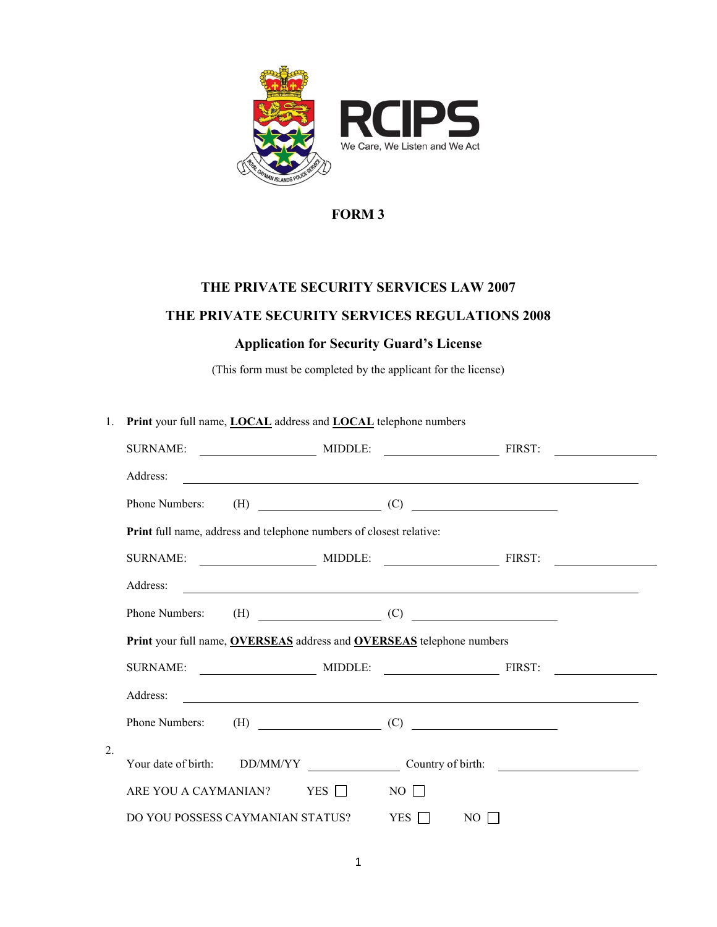

# **FORM 3**

# **THE PRIVATE SECURITY SERVICES LAW 2007 THE PRIVATE SECURITY SERVICES REGULATIONS 2008**

## **Application for Security Guard's License**

(This form must be completed by the applicant for the license)

| 1.               | Print your full name, <b>LOCAL</b> address and <b>LOCAL</b> telephone numbers |  |  |              |                                                                                                                       |  |  |
|------------------|-------------------------------------------------------------------------------|--|--|--------------|-----------------------------------------------------------------------------------------------------------------------|--|--|
|                  |                                                                               |  |  |              |                                                                                                                       |  |  |
|                  | Address:                                                                      |  |  |              |                                                                                                                       |  |  |
|                  | Phone Numbers:                                                                |  |  |              | $(H)$ (C)                                                                                                             |  |  |
|                  | Print full name, address and telephone numbers of closest relative:           |  |  |              |                                                                                                                       |  |  |
|                  |                                                                               |  |  |              |                                                                                                                       |  |  |
|                  | Address:                                                                      |  |  |              | <u> 1989 - Johann Stoff, deutscher Stoff, der Stoff, der Stoff, der Stoff, der Stoff, der Stoff, der Stoff, der S</u> |  |  |
|                  | Phone Numbers: $(H)$ (C)                                                      |  |  |              |                                                                                                                       |  |  |
|                  | Print your full name, OVERSEAS address and OVERSEAS telephone numbers         |  |  |              |                                                                                                                       |  |  |
|                  |                                                                               |  |  |              |                                                                                                                       |  |  |
|                  | Address:                                                                      |  |  |              |                                                                                                                       |  |  |
|                  | Phone Numbers: $(H)$ (C)                                                      |  |  |              |                                                                                                                       |  |  |
| $\overline{2}$ . |                                                                               |  |  |              |                                                                                                                       |  |  |
|                  |                                                                               |  |  |              |                                                                                                                       |  |  |
|                  | ARE YOU A CAYMANIAN? YES $\Box$                                               |  |  | $NO$ $\Box$  |                                                                                                                       |  |  |
|                  | DO YOU POSSESS CAYMANIAN STATUS?                                              |  |  | $YES$ $\Box$ | $NO$                                                                                                                  |  |  |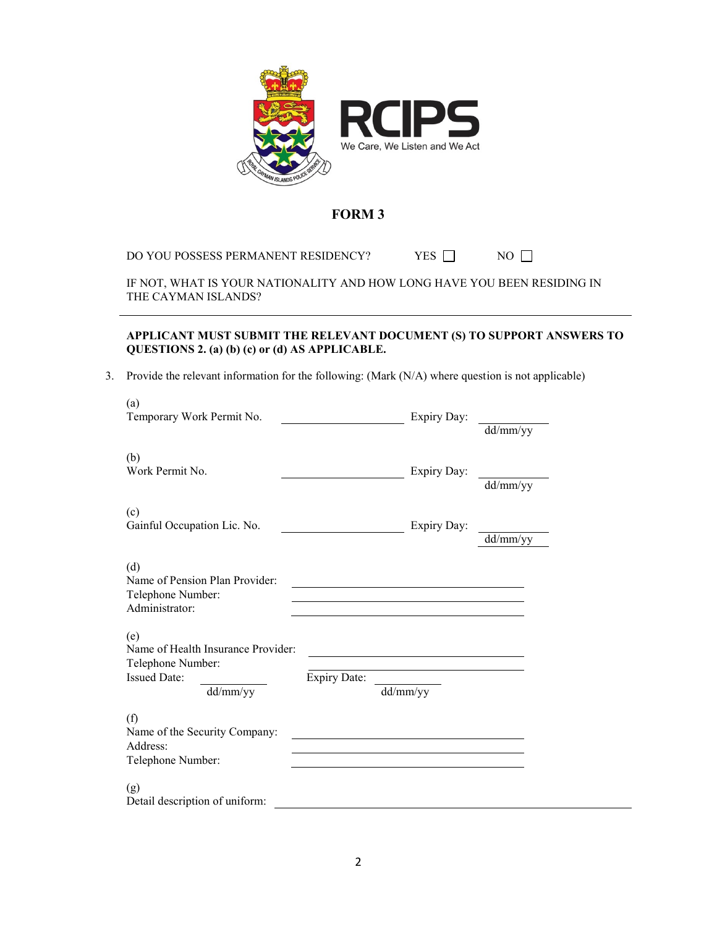

### **FORM 3**

DO YOU POSSESS PERMANENT RESIDENCY? YES  $\Box$  NO  $\Box$ 

IF NOT, WHAT IS YOUR NATIONALITY AND HOW LONG HAVE YOU BEEN RESIDING IN THE CAYMAN ISLANDS?

#### **APPLICANT MUST SUBMIT THE RELEVANT DOCUMENT (S) TO SUPPORT ANSWERS TO QUESTIONS 2. (a) (b) (c) or (d) AS APPLICABLE.**

3. Provide the relevant information for the following: (Mark (N/A) where question is not applicable)

| (a)<br>Temporary Work Permit No.                                                                  | <u>and the state of the state</u> | Expiry Day:                                                                     | dd/mm/yy |
|---------------------------------------------------------------------------------------------------|-----------------------------------|---------------------------------------------------------------------------------|----------|
| (b)<br>Work Permit No.                                                                            |                                   | Expiry Day:                                                                     | dd/mm/yy |
| (c)<br>Gainful Occupation Lic. No.                                                                |                                   | Expiry Day:                                                                     | dd/mm/yy |
| (d)<br>Name of Pension Plan Provider:<br>Telephone Number:<br>Administrator:                      |                                   |                                                                                 |          |
| (e)<br>Name of Health Insurance Provider:<br>Telephone Number:<br><b>Issued Date:</b><br>dd/mm/yy | <b>Expiry Date:</b>               | dd/mm/yy                                                                        |          |
| (f)<br>Name of the Security Company:<br>Address:<br>Telephone Number:                             |                                   | the contract of the contract of the contract of the contract of the contract of |          |
| (g)<br>Detail description of uniform:                                                             |                                   |                                                                                 |          |